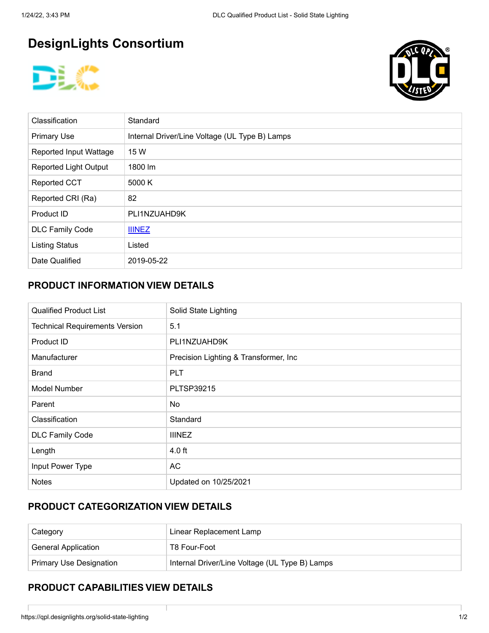# **DesignLights Consortium**





| Classification                | Standard                                       |
|-------------------------------|------------------------------------------------|
| <b>Primary Use</b>            | Internal Driver/Line Voltage (UL Type B) Lamps |
| <b>Reported Input Wattage</b> | 15 W                                           |
| <b>Reported Light Output</b>  | 1800 lm                                        |
| <b>Reported CCT</b>           | 5000 K                                         |
| Reported CRI (Ra)             | 82                                             |
| Product ID                    | PLI1NZUAHD9K                                   |
| <b>DLC Family Code</b>        | <b>IIINEZ</b>                                  |
| <b>Listing Status</b>         | Listed                                         |
| Date Qualified                | 2019-05-22                                     |

#### **PRODUCT INFORMATION VIEW DETAILS**

| <b>Qualified Product List</b>         | Solid State Lighting                   |
|---------------------------------------|----------------------------------------|
| <b>Technical Requirements Version</b> | 5.1                                    |
| Product ID                            | PLI1NZUAHD9K                           |
| Manufacturer                          | Precision Lighting & Transformer, Inc. |
| <b>Brand</b>                          | <b>PLT</b>                             |
| <b>Model Number</b>                   | <b>PLTSP39215</b>                      |
| Parent                                | No.                                    |
| Classification                        | Standard                               |
| <b>DLC Family Code</b>                | <b>IIINEZ</b>                          |
| Length                                | $4.0$ ft                               |
| Input Power Type                      | <b>AC</b>                              |
| <b>Notes</b>                          | Updated on 10/25/2021                  |

### **PRODUCT CATEGORIZATION VIEW DETAILS**

| Category                       | Linear Replacement Lamp                        |  |
|--------------------------------|------------------------------------------------|--|
| <b>General Application</b>     | T8 Four-Foot                                   |  |
| <b>Primary Use Designation</b> | Internal Driver/Line Voltage (UL Type B) Lamps |  |

#### **PRODUCT CAPABILITIES VIEW DETAILS**